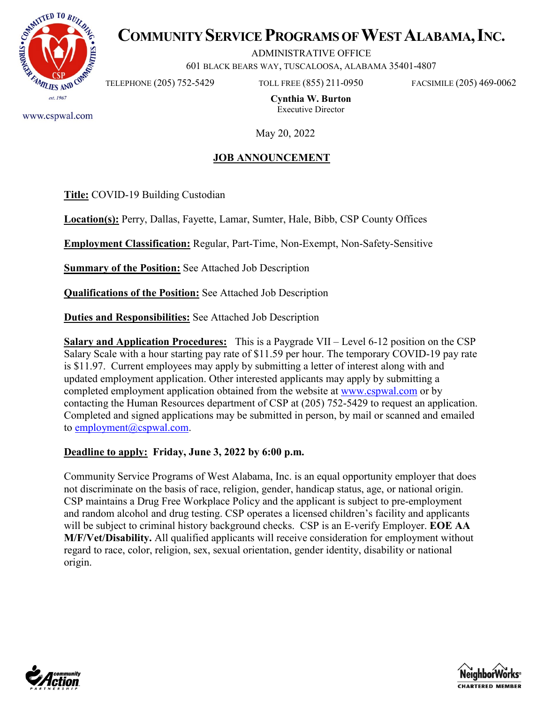

# **COMMUNITY SERVICE PROGRAMS OF WEST ALABAMA, INC.**

ADMINISTRATIVE OFFICE

601 BLACK BEARS WAY, TUSCALOOSA, ALABAMA 35401-4807

TELEPHONE (205) 752-5429 TOLL FREE (855) 211-0950 FACSIMILE (205) 469-0062

**Cynthia W. Burton** Executive Director

www.cspwal.com

May 20, 2022

#### **JOB ANNOUNCEMENT**

**Title:** COVID-19 Building Custodian

**Location(s):** Perry, Dallas, Fayette, Lamar, Sumter, Hale, Bibb, CSP County Offices

**Employment Classification:** Regular, Part-Time, Non-Exempt, Non-Safety-Sensitive

**Summary of the Position:** See Attached Job Description

**Qualifications of the Position:** See Attached Job Description

**Duties and Responsibilities:** See Attached Job Description

**Salary and Application Procedures:** This is a Paygrade VII – Level 6-12 position on the CSP Salary Scale with a hour starting pay rate of \$11.59 per hour. The temporary COVID-19 pay rate is \$11.97. Current employees may apply by submitting a letter of interest along with and updated employment application. Other interested applicants may apply by submitting a completed employment application obtained from the website at [www.cspwal.com](http://www.cspwal.com/) or by contacting the Human Resources department of CSP at (205) 752-5429 to request an application. Completed and signed applications may be submitted in person, by mail or scanned and emailed to [employment@cspwal.com.](mailto:employment@cspwal.com)

#### **Deadline to apply: Friday, June 3, 2022 by 6:00 p.m.**

Community Service Programs of West Alabama, Inc. is an equal opportunity employer that does not discriminate on the basis of race, religion, gender, handicap status, age, or national origin. CSP maintains a Drug Free Workplace Policy and the applicant is subject to pre-employment and random alcohol and drug testing. CSP operates a licensed children's facility and applicants will be subject to criminal history background checks. CSP is an E-verify Employer. **EOE AA M/F/Vet/Disability.** All qualified applicants will receive consideration for employment without regard to race, color, religion, sex, sexual orientation, gender identity, disability or national origin.



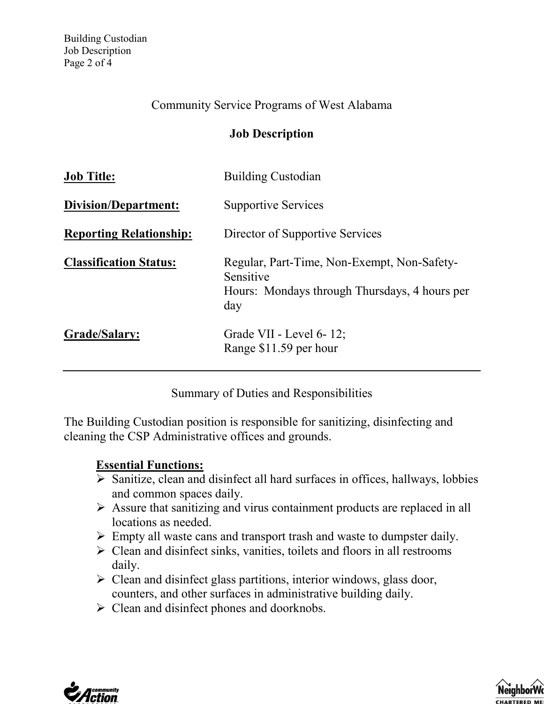#### Community Service Programs of West Alabama

#### **Job Description**

| <b>Job Title:</b>              | <b>Building Custodian</b>                                                                                        |
|--------------------------------|------------------------------------------------------------------------------------------------------------------|
| Division/Department:           | <b>Supportive Services</b>                                                                                       |
| <b>Reporting Relationship:</b> | Director of Supportive Services                                                                                  |
| <b>Classification Status:</b>  | Regular, Part-Time, Non-Exempt, Non-Safety-<br>Sensitive<br>Hours: Mondays through Thursdays, 4 hours per<br>day |
| Grade/Salary:                  | Grade VII - Level 6-12;<br>Range \$11.59 per hour                                                                |

Summary of Duties and Responsibilities

The Building Custodian position is responsible for sanitizing, disinfecting and cleaning the CSP Administrative offices and grounds.

#### **Essential Functions:**

- $\triangleright$  Sanitize, clean and disinfect all hard surfaces in offices, hallways, lobbies and common spaces daily.
- Assure that sanitizing and virus containment products are replaced in all locations as needed.
- $\triangleright$  Empty all waste cans and transport trash and waste to dumpster daily.
- $\triangleright$  Clean and disinfect sinks, vanities, toilets and floors in all restrooms daily.
- $\triangleright$  Clean and disinfect glass partitions, interior windows, glass door, counters, and other surfaces in administrative building daily.
- $\triangleright$  Clean and disinfect phones and doorknobs.



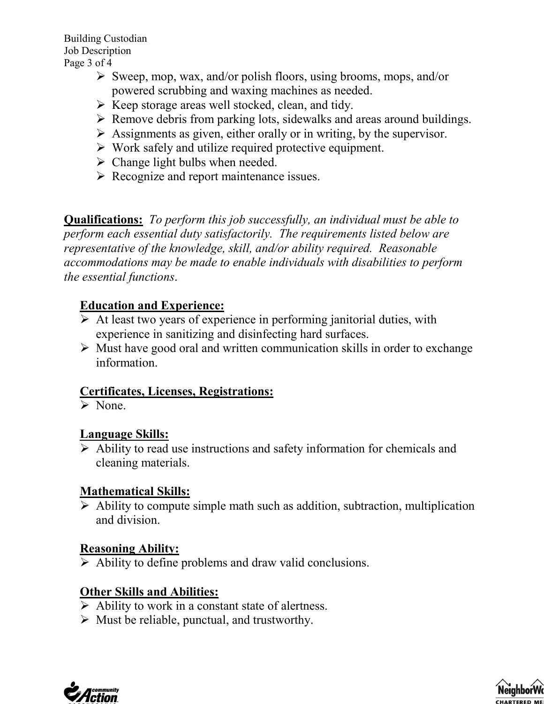- $\triangleright$  Sweep, mop, wax, and/or polish floors, using brooms, mops, and/or powered scrubbing and waxing machines as needed.
- $\triangleright$  Keep storage areas well stocked, clean, and tidy.
- $\triangleright$  Remove debris from parking lots, sidewalks and areas around buildings.
- $\triangleright$  Assignments as given, either orally or in writing, by the supervisor.
- $\triangleright$  Work safely and utilize required protective equipment.
- $\triangleright$  Change light bulbs when needed.
- $\triangleright$  Recognize and report maintenance issues.

**Qualifications:** *To perform this job successfully, an individual must be able to perform each essential duty satisfactorily. The requirements listed below are representative of the knowledge, skill, and/or ability required. Reasonable accommodations may be made to enable individuals with disabilities to perform the essential functions*.

# **Education and Experience:**

- $\triangleright$  At least two years of experience in performing janitorial duties, with experience in sanitizing and disinfecting hard surfaces.
- $\triangleright$  Must have good oral and written communication skills in order to exchange information.

## **Certificates, Licenses, Registrations:**

 $\triangleright$  None.

## **Language Skills:**

 $\triangleright$  Ability to read use instructions and safety information for chemicals and cleaning materials.

## **Mathematical Skills:**

 $\triangleright$  Ability to compute simple math such as addition, subtraction, multiplication and division.

## **Reasoning Ability:**

 $\triangleright$  Ability to define problems and draw valid conclusions.

# **Other Skills and Abilities:**

- $\triangleright$  Ability to work in a constant state of alertness.
- $\triangleright$  Must be reliable, punctual, and trustworthy.